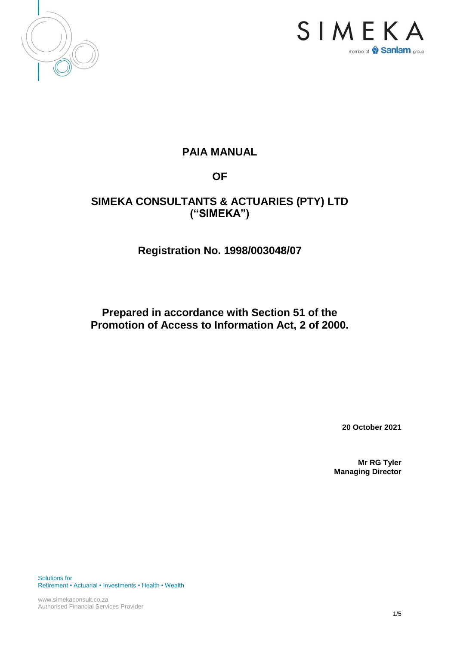



# **PAIA MANUAL**

# **OF**

# **SIMEKA CONSULTANTS & ACTUARIES (PTY) LTD ("SIMEKA")**

# **Registration No. 1998/003048/07**

# **Prepared in accordance with Section 51 of the Promotion of Access to Information Act, 2 of 2000.**

**20 October 2021**

**Mr RG Tyler Managing Director**

Solutions for Retirement • Actuarial • Investments • Health • Wealth

www.simekaconsult.co.za Authorised Financial Services Provider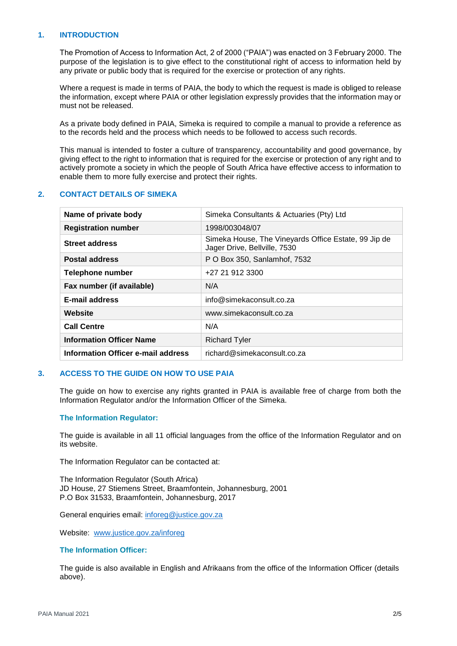#### **1. INTRODUCTION**

The Promotion of Access to Information Act, 2 of 2000 ("PAIA") was enacted on 3 February 2000. The purpose of the legislation is to give effect to the constitutional right of access to information held by any private or public body that is required for the exercise or protection of any rights.

Where a request is made in terms of PAIA, the body to which the request is made is obliged to release the information, except where PAIA or other legislation expressly provides that the information may or must not be released.

As a private body defined in PAIA, Simeka is required to compile a manual to provide a reference as to the records held and the process which needs to be followed to access such records.

This manual is intended to foster a culture of transparency, accountability and good governance, by giving effect to the right to information that is required for the exercise or protection of any right and to actively promote a society in which the people of South Africa have effective access to information to enable them to more fully exercise and protect their rights.

### **2. CONTACT DETAILS OF SIMEKA**

| Name of private body               | Simeka Consultants & Actuaries (Pty) Ltd                                             |
|------------------------------------|--------------------------------------------------------------------------------------|
| <b>Registration number</b>         | 1998/003048/07                                                                       |
| <b>Street address</b>              | Simeka House, The Vineyards Office Estate, 99 Jip de<br>Jager Drive, Bellville, 7530 |
| <b>Postal address</b>              | P O Box 350, Sanlamhof, 7532                                                         |
| Telephone number                   | +27 21 912 3300                                                                      |
| Fax number (if available)          | N/A                                                                                  |
| <b>E-mail address</b>              | info@simekaconsult.co.za                                                             |
| Website                            | www.simekaconsult.co.za                                                              |
| <b>Call Centre</b>                 | N/A                                                                                  |
| <b>Information Officer Name</b>    | <b>Richard Tyler</b>                                                                 |
| Information Officer e-mail address | richard@simekaconsult.co.za                                                          |

#### **3. ACCESS TO THE GUIDE ON HOW TO USE PAIA**

The guide on how to exercise any rights granted in PAIA is available free of charge from both the Information Regulator and/or the Information Officer of the Simeka.

#### **The Information Regulator:**

The guide is available in all 11 official languages from the office of the Information Regulator and on its website.

The Information Regulator can be contacted at:

The Information Regulator (South Africa) JD House, 27 Stiemens Street, Braamfontein, Johannesburg, 2001 P.O Box 31533, Braamfontein, Johannesburg, 2017

General enquiries email: [inforeg@justice.gov.za](mailto:inforeg@justice.gov.za)

Website: [www.justice.gov.za/inforeg](http://www.justice.gov.za/inforeg)

#### **The Information Officer:**

The guide is also available in English and Afrikaans from the office of the Information Officer (details above).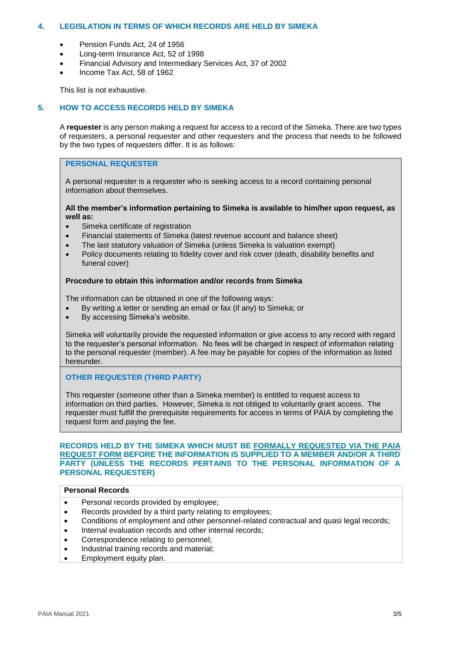### **4. LEGISLATION IN TERMS OF WHICH RECORDS ARE HELD BY SIMEKA**

- Pension Funds Act, 24 of 1956
- Long-term Insurance Act, 52 of 1998
- Financial Advisory and Intermediary Services Act, 37 of 2002
- Income Tax Act, 58 of 1962

This list is not exhaustive.

## **5. HOW TO ACCESS RECORDS HELD BY SIMEKA**

A **requester** is any person making a request for access to a record of the Simeka. There are two types of requesters, a personal requester and other requesters and the process that needs to be followed by the two types of requesters differ. It is as follows:

# **PERSONAL REQUESTER**

A personal requester is a requester who is seeking access to a record containing personal information about themselves.

#### **All the member's information pertaining to Simeka is available to him/her upon request, as well as:**

- Simeka certificate of registration
- Financial statements of Simeka (latest revenue account and balance sheet)
- The last statutory valuation of Simeka (unless Simeka is valuation exempt)
- Policy documents relating to fidelity cover and risk cover (death, disability benefits and funeral cover)

### **Procedure to obtain this information and/or records from Simeka**

The information can be obtained in one of the following ways:

- By writing a letter or sending an email or fax (if any) to Simeka; or
- By accessing Simeka's website.

Simeka will voluntarily provide the requested information or give access to any record with regard to the requester's personal information. No fees will be charged in respect of information relating to the personal requester (member). A fee may be payable for copies of the information as listed hereunder.

**OTHER REQUESTER (THIRD PARTY)** 

This requester (someone other than a Simeka member) is entitled to request access to information on third parties. However, Simeka is not obliged to voluntarily grant access. The requester must fulfill the prerequisite requirements for access in terms of PAIA by completing the request form and paying the fee.

#### **RECORDS HELD BY THE SIMEKA WHICH MUST BE FORMALLY REQUESTED VIA THE PAIA REQUEST FORM BEFORE THE INFORMATION IS SUPPLIED TO A MEMBER AND/OR A THIRD PARTY (UNLESS THE RECORDS PERTAINS TO THE PERSONAL INFORMATION OF A PERSONAL REQUESTER)**

### **Personal Records**

- Personal records provided by employee;
- Records provided by a third party relating to employees;
- Conditions of employment and other personnel-related contractual and quasi legal records;
- Internal evaluation records and other internal records;
- Correspondence relating to personnel;
- Industrial training records and material;
- Employment equity plan.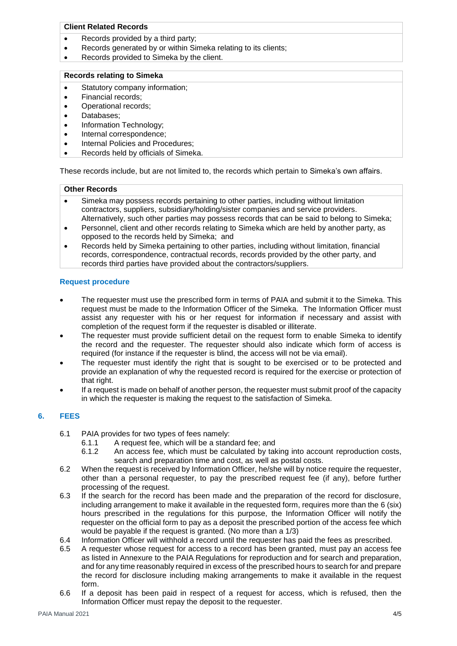# **Client Related Records**

- Records provided by a third party:
- Records generated by or within Simeka relating to its clients;
- Records provided to Simeka by the client.

#### **Records relating to Simeka**

- Statutory company information;
- Financial records;
- Operational records;
- Databases;
- Information Technology;
- Internal correspondence;
- Internal Policies and Procedures;
- Records held by officials of Simeka.

These records include, but are not limited to, the records which pertain to Simeka's own affairs.

#### **Other Records**

- Simeka may possess records pertaining to other parties, including without limitation contractors, suppliers, subsidiary/holding/sister companies and service providers. Alternatively, such other parties may possess records that can be said to belong to Simeka;
- Personnel, client and other records relating to Simeka which are held by another party, as opposed to the records held by Simeka; and
- Records held by Simeka pertaining to other parties, including without limitation, financial records, correspondence, contractual records, records provided by the other party, and records third parties have provided about the contractors/suppliers.

### **Request procedure**

- The requester must use the prescribed form in terms of PAIA and submit it to the Simeka. This request must be made to the Information Officer of the Simeka. The Information Officer must assist any requester with his or her request for information if necessary and assist with completion of the request form if the requester is disabled or illiterate.
- The requester must provide sufficient detail on the request form to enable Simeka to identify the record and the requester. The requester should also indicate which form of access is required (for instance if the requester is blind, the access will not be via email).
- The requester must identify the right that is sought to be exercised or to be protected and provide an explanation of why the requested record is required for the exercise or protection of that right.
- If a request is made on behalf of another person, the requester must submit proof of the capacity in which the requester is making the request to the satisfaction of Simeka.

## **6. FEES**

- 6.1 PAIA provides for two types of fees namely:
	- 6.1.1 A request fee, which will be a standard fee; and 6.1.2 An access fee, which must be calculated by tal
	- An access fee, which must be calculated by taking into account reproduction costs, search and preparation time and cost, as well as postal costs.
- 6.2 When the request is received by Information Officer, he/she will by notice require the requester, other than a personal requester, to pay the prescribed request fee (if any), before further processing of the request.
- 6.3 If the search for the record has been made and the preparation of the record for disclosure, including arrangement to make it available in the requested form, requires more than the 6 (six) hours prescribed in the regulations for this purpose, the Information Officer will notify the requester on the official form to pay as a deposit the prescribed portion of the access fee which would be payable if the request is granted. (No more than a 1/3)
- 6.4 Information Officer will withhold a record until the requester has paid the fees as prescribed.
- 6.5 A requester whose request for access to a record has been granted, must pay an access fee as listed in Annexure to the PAIA Regulations for reproduction and for search and preparation, and for any time reasonably required in excess of the prescribed hours to search for and prepare the record for disclosure including making arrangements to make it available in the request form.
- 6.6 If a deposit has been paid in respect of a request for access, which is refused, then the Information Officer must repay the deposit to the requester.